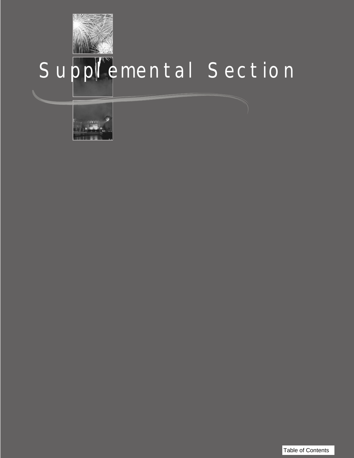

# Supplemental Section



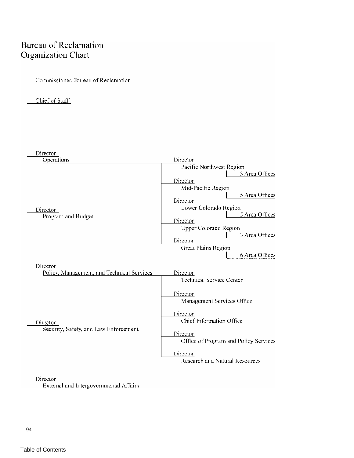### **Bureau of Reclamation Organization Chart**

Chief of Staff

Commissioner, Bureau of Reclamation

Director Operations Director Pacific Northwest Region 3 Area Offices Director Mid-Pacific Region 5 Area Offices Director Lower Colorado Region Director 5 Area Offices Program and Budget Director Upper Colorado Region 3 Area Offices Director Great Plains Region 6 Area Offices Director Policy, Management, and Technical Services Director Technical Service Center Director Management Services Office Director Chief Information Office Director Security, Safety, and Law Enforcement Director Office of Program and Policy Services Director **Research and Natural Resources** Director

External and Intergovernmental Affairs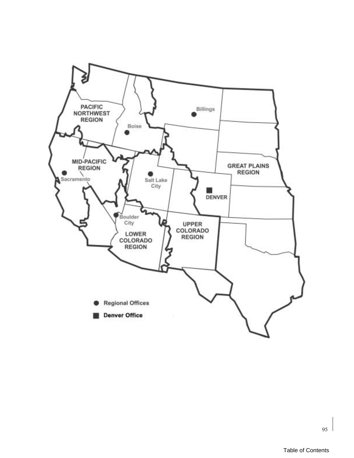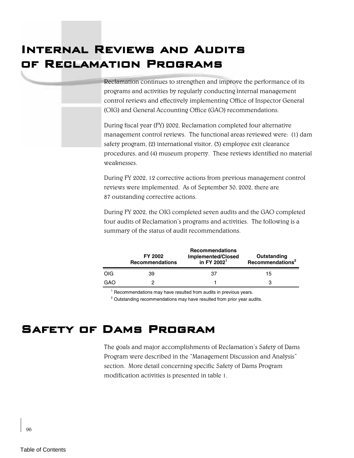# Internal Reviews and Audits of Reclamation Programs

Reclamation continues to strengthen and improve the performance of its programs and activities by regularly conducting internal management control reviews and effectively implementing Office of Inspector General (OIG) and General Accounting Office (GAO) recommendations.

During fiscal year (FY) 2002, Reclamation completed four alternative management control reviews. The functional areas reviewed were: (1) dam safety program, (2) international visitor, (3) employee exit clearance procedures, and (4) museum property. These reviews identified no material weaknesses.

During FY 2002, 12 corrective actions from previous management control reviews were implemented. As of September 30, 2002, there are 87 outstanding corrective actions.

During FY 2002, the OIG completed seven audits and the GAO completed four audits of Reclamation's programs and activities. The following is a summary of the status of audit recommendations.

|            | <b>FY 2002</b><br><b>Recommendations</b> | <b>Recommendations</b><br><b>Implemented/Closed</b><br>in FY 2002 $1$ | Outstanding<br>Recommendations <sup>2</sup> |  |  |
|------------|------------------------------------------|-----------------------------------------------------------------------|---------------------------------------------|--|--|
| <b>OIG</b> | 39                                       | 37                                                                    | 15                                          |  |  |
| GAO        |                                          |                                                                       | з                                           |  |  |

<sup>1</sup> Recommendations may have resulted from audits in previous years.

 $2$  Outstanding recommendations may have resulted from prior year audits.

## Safety of Dams Program

The goals and major accomplishments of Reclamation's Safety of Dams Program were described in the "Management Discussion and Analysis" section. More detail concerning specific Safety of Dams Program modification activities is presented in table 1.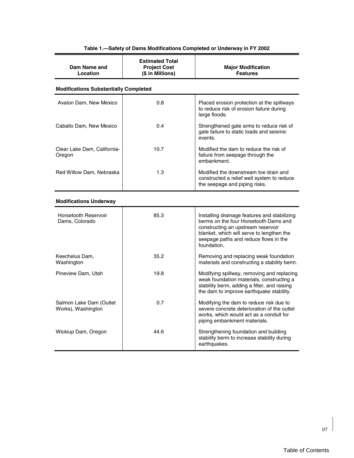| Dam Name and<br>Location                      | <b>Estimated Total</b><br><b>Project Cost</b><br>(\$ in Millions) | <b>Major Modification</b><br><b>Features</b>                                                                                                                                                                                     |
|-----------------------------------------------|-------------------------------------------------------------------|----------------------------------------------------------------------------------------------------------------------------------------------------------------------------------------------------------------------------------|
| <b>Modifications Substantially Completed</b>  |                                                                   |                                                                                                                                                                                                                                  |
| Avalon Dam, New Mexico                        | 0.8                                                               | Placed erosion protection at the spillways<br>to reduce risk of erosion failure during<br>large floods.                                                                                                                          |
| Caballo Dam, New Mexico                       | 0.4                                                               | Strengthened gate arms to reduce risk of<br>gate failure to static loads and seismic<br>events.                                                                                                                                  |
| Clear Lake Dam, California-<br>Oregon         | 10.7                                                              | Modified the dam to reduce the risk of<br>failure from seepage through the<br>embankment.                                                                                                                                        |
| Red Willow Dam, Nebraska                      | 1.3                                                               | Modified the downstream toe drain and<br>constructed a relief well system to reduce<br>the seepage and piping risks.                                                                                                             |
| <b>Modifications Underway</b>                 |                                                                   |                                                                                                                                                                                                                                  |
| <b>Horsetooth Reservoir</b><br>Dams, Colorado | 85.3                                                              | Installing drainage features and stabilizing<br>berms on the four Horsetooth Dams and<br>constructing an upstream reservoir<br>blanket, which will serve to lengthen the<br>seepage paths and reduce flows in the<br>foundation. |
| Keechelus Dam,<br>Washington                  | 35.2                                                              | Removing and replacing weak foundation<br>materials and constructing a stability berm.                                                                                                                                           |
| Pineview Dam, Utah                            | 19.8                                                              | Modifying spillway, removing and replacing<br>weak foundation materials, constructing a<br>stability berm, adding a filter, and raising<br>the dam to improve earthquake stability.                                              |
| Salmon Lake Dam (Outlet<br>Works), Washington | 0.7                                                               | Modifying the dam to reduce risk due to<br>severe concrete deterioration of the outlet<br>works, which would act as a conduit for<br>piping embankment materials.                                                                |
| Wickiup Dam, Oregon                           | 44.6                                                              | Strengthening foundation and building<br>stability berm to increase stability during<br>earthquakes.                                                                                                                             |

### **Table 1.—Safety of Dams Modifications Completed or Underway in FY 2002**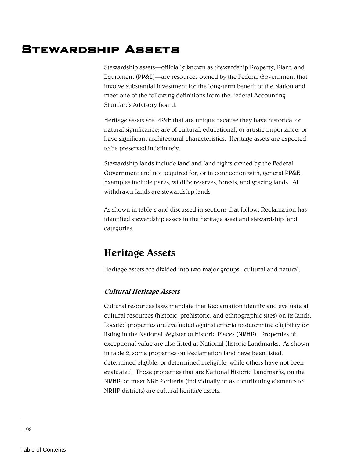# Stewardship Assets

Stewardship assets—officially known as Stewardship Property, Plant, and Equipment (PP&E)—are resources owned by the Federal Government that involve substantial investment for the long-term benefit of the Nation and meet one of the following definitions from the Federal Accounting Standards Advisory Board:

Heritage assets are PP&E that are unique because they have historical or natural significance; are of cultural, educational, or artistic importance; or have significant architectural characteristics. Heritage assets are expected to be preserved indefinitely.

Stewardship lands include land and land rights owned by the Federal Government and not acquired for, or in connection with, general PP&E. Examples include parks, wildlife reserves, forests, and grazing lands. All withdrawn lands are stewardship lands.

As shown in table 2 and discussed in sections that follow, Reclamation has identified stewardship assets in the heritage asset and stewardship land categories.

### **Heritage Assets**

Heritage assets are divided into two major groups: cultural and natural.

### **Cultural Heritage Assets**

Cultural resources laws mandate that Reclamation identify and evaluate all cultural resources (historic, prehistoric, and ethnographic sites) on its lands. Located properties are evaluated against criteria to determine eligibility for listing in the National Register of Historic Places (NRHP). Properties of exceptional value are also listed as National Historic Landmarks. As shown in table 2, some properties on Reclamation land have been listed, determined eligible, or determined ineligible, while others have not been evaluated. Those properties that are National Historic Landmarks, on the NRHP, or meet NRHP criteria (individually or as contributing elements to NRHP districts) are cultural heritage assets.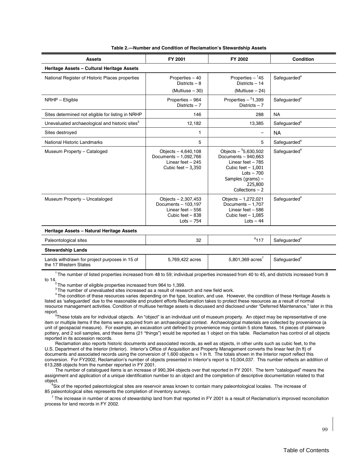| <b>Assets</b>                                              | FY 2001                                                                                              | FY 2002                                                                                                                                                         | <b>Condition</b>         |
|------------------------------------------------------------|------------------------------------------------------------------------------------------------------|-----------------------------------------------------------------------------------------------------------------------------------------------------------------|--------------------------|
| Heritage Assets - Cultural Heritage Assets                 |                                                                                                      |                                                                                                                                                                 |                          |
| National Register of Historic Places properties            | Properties - 40<br>Districts $-8$<br>(Multiuse - 30)                                                 | Properties $-145$<br>Districts $-14$<br>$(Multiuse - 24)$                                                                                                       | Safequarded <sup>4</sup> |
| NRHP - Eligible                                            | Properties - 964<br>Districts $-7$                                                                   | Properties $-{}^2$ 1,399<br>Districts $-7$                                                                                                                      | Safeguarded <sup>4</sup> |
| Sites determined not eligible for listing in NRHP          | 146                                                                                                  | 288                                                                                                                                                             | <b>NA</b>                |
| Unevaluated archaeological and historic sites <sup>3</sup> | 12,182                                                                                               | 13,385                                                                                                                                                          | Safeguarded <sup>4</sup> |
| Sites destroyed                                            | 1                                                                                                    | -                                                                                                                                                               | <b>NA</b>                |
| National Historic Landmarks                                | 5                                                                                                    | 5                                                                                                                                                               | Safeguarded <sup>4</sup> |
| Museum Property - Cataloged                                | Objects $-4,640,108$<br>Documents - 1,092,766<br>Linear feet $-245$<br>Cubic feet $-3,350$           | Objects $-$ 5,630,502<br>Documents - 940,663<br>Linear feet $-785$<br>Cubic feet $-1,001$<br>$Lots - 700$<br>Samples (grams) $-$<br>225,800<br>Collections $-2$ | Safeguarded <sup>4</sup> |
| Museum Property - Uncataloged                              | Objects - 2,307,453<br>Documents - 103,197<br>Linear feet $-556$<br>Cubic feet - 838<br>$Lots - 754$ | Objects - 1,272,021<br>Documents - 1.707<br>Linear feet $-586$<br>Cubic feet $-1,085$<br>$Lots - 44$                                                            | Safeguarded <sup>4</sup> |
| Heritage Assets - Natural Heritage Assets                  |                                                                                                      |                                                                                                                                                                 |                          |
| Paleontological sites                                      | 32                                                                                                   | $6$ 117                                                                                                                                                         | Safeguarded <sup>4</sup> |

#### **Table 2.—Number and Condition of Reclamation's Stewardship Assets**

| Paleontological sites    | $\sim$<br>ےں<br>$\sim$ | 64.47<br>$\cdots$ | Safeguarded <sup>4</sup> |
|--------------------------|------------------------|-------------------|--------------------------|
| <b>Stewardship Lands</b> |                        |                   |                          |

| Lands withdrawn for project purposes in 15 of | 5.769.422 acres | 5,801,369 acres | Safeguarded |
|-----------------------------------------------|-----------------|-----------------|-------------|
| the 17 Western States                         |                 |                 |             |

 $^1$ The number of listed properties increased from 48 to 59; individual properties increased from 40 to 45, and districts increased from 8 to 14.<br><sup>2</sup> The number of eligible properties increased from 964 to 1,399.

<sup>3</sup> The number of unevaluated sites increased as a result of research and new field work.

<sup>4</sup> The condition of these resources varies depending on the type, location, and use. However, the condition of these Heritage Assets is listed as 'safeguarded' due to the reasonable and prudent efforts Reclamation takes to protect these resources as a result of normal resource management activities. Condition of multiuse heritage assets is discussed and disclosed under "Deferred Maintenance," later in this report.

 $5$ These totals are for individual objects. An "object" is an individual unit of museum property. An object may be representative of one item or multiple items if the items were acquired from an archaeological context. Archaeological materials are collected by provenience (a unit of geospacial measure). For example, an excavation unit defined by provenience may contain 5 stone flakes, 14 pieces of plainware pottery, and 2 soil samples, and these items (21 "things") would be reported as 1 object on this table. Reclamation has control of all objects reported in its accession records.

Reclamation also reports historic documents and associated records, as well as objects, in other units such as cubic feet, to the U.S. Department of the Interior (Interior). Interior's Office of Acquisition and Property Management converts the linear feet (ln ft) of documents and associated records using the conversion of 1,600 objects = 1 ln ft. The totals shown in the Interior report reflect this conversion. For FY2002, Reclamation's number of objects presented in Interior's report is 10,004,037. This number reflects an addition of 613,288 objects from the number reported in FY 2001.

The number of catalogued items is an increase of 990,394 objects over that reported in FY 2001. The term "catalogued" means the assignment and application of a unique identification number to an object and the completion of descriptive documentation related to that object. 6

<sup>6</sup>Six of the reported paleontological sites are reservoir areas known to contain many paleontological locales. The increase of 85 paleontological sites represents the completion of inventory surveys.

 $^7$  The increase in number of acres of stewardship land from that reported in FY 2001 is a result of Reclamation's improved reconciliation process for land records in FY 2002.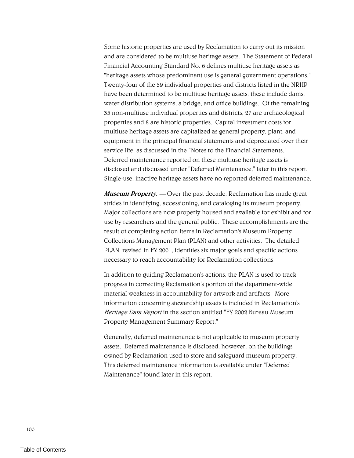Some historic properties are used by Reclamation to carry out its mission and are considered to be multiuse heritage assets. The Statement of Federal Financial Accounting Standard No. 6 defines multiuse heritage assets as "heritage assets whose predominant use is general government operations." Twenty-four of the 59 individual properties and districts listed in the NRHP have been determined to be multiuse heritage assets; these include dams, water distribution systems, a bridge, and office buildings. Of the remaining 35 non-multiuse individual properties and districts, 27 are archaeological properties and 8 are historic properties. Capital investment costs for multiuse heritage assets are capitalized as general property, plant, and equipment in the principal financial statements and depreciated over their service life, as discussed in the "Notes to the Financial Statements." Deferred maintenance reported on these multiuse heritage assets is disclosed and discussed under "Deferred Maintenance," later in this report. Single-use, inactive heritage assets have no reported deferred maintenance.

**Museum Property.** - Over the past decade, Reclamation has made great strides in identifying, accessioning, and cataloging its museum property. Major collections are now properly housed and available for exhibit and for use by researchers and the general public. These accomplishments are the result of completing action items in Reclamation's Museum Property Collections Management Plan (PLAN) and other activities. The detailed PLAN, revised in FY 2001, identifies six major goals and specific actions necessary to reach accountability for Reclamation collections.

In addition to guiding Reclamation's actions, the PLAN is used to track progress in correcting Reclamation's portion of the department-wide material weakness in accountability for artwork and artifacts. More information concerning stewardship assets is included in Reclamation's Heritage Data Report in the section entitled "FY 2002 Bureau Museum Property Management Summary Report."

Generally, deferred maintenance is not applicable to museum property assets. Deferred maintenance is disclosed, however, on the buildings owned by Reclamation used to store and safeguard museum property. This deferred maintenance information is available under "Deferred Maintenance" found later in this report.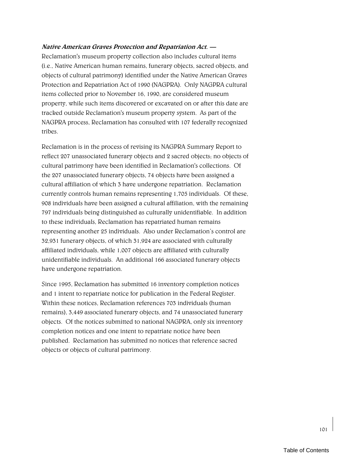### **Native American Graves Protection and Repatriation Act. ó**

Reclamation's museum property collection also includes cultural items (i.e., Native American human remains, funerary objects, sacred objects, and objects of cultural patrimony) identified under the Native American Graves Protection and Repatriation Act of 1990 (NAGPRA). Only NAGPRA cultural items collected prior to November 16, 1990, are considered museum property, while such items discovered or excavated on or after this date are tracked outside Reclamation's museum property system. As part of the NAGPRA process, Reclamation has consulted with 107 federally recognized tribes.

Reclamation is in the process of revising its NAGPRA Summary Report to reflect 207 unassociated funerary objects and 2 sacred objects; no objects of cultural patrimony have been identified in Reclamation's collections. Of the 207 unassociated funerary objects, 74 objects have been assigned a cultural affiliation of which 3 have undergone repatriation. Reclamation currently controls human remains representing 1,705 individuals. Of these, 908 individuals have been assigned a cultural affiliation, with the remaining 797 individuals being distinguished as culturally unidentifiable. In addition to these individuals, Reclamation has repatriated human remains representing another 25 individuals. Also under Reclamation's control are 32,931 funerary objects, of which 31,924 are associated with culturally affiliated individuals, while 1,007 objects are affiliated with culturally unidentifiable individuals. An additional 166 associated funerary objects have undergone repatriation.

Since 1995, Reclamation has submitted 16 inventory completion notices and 1 intent to repatriate notice for publication in the Federal Register. Within these notices, Reclamation references 703 individuals (human remains), 3,449 associated funerary objects, and 74 unassociated funerary objects. Of the notices submitted to national NAGPRA, only six inventory completion notices and one intent to repatriate notice have been published. Reclamation has submitted no notices that reference sacred objects or objects of cultural patrimony.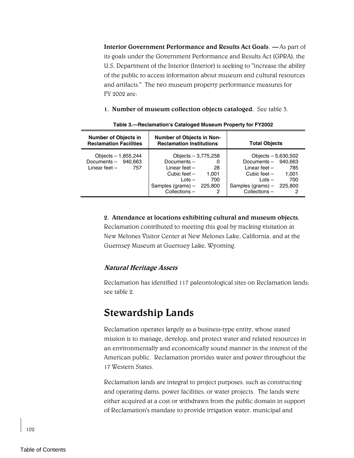**Interior Government Performance and Results Act Goals.**  $-$  **As part of** its goals under the Government Performance and Results Act (GPRA), the U.S. Department of the Interior (Interior) is seeking to "increase the ability of the public to access information about museum and cultural resources and artifacts." The two museum property performance measures for FY 2002 are:

**1. Number of museum collection objects cataloged.** See table 3.

| <b>Number of Objects in</b><br><b>Reclamation Facilities</b>           | <b>Number of Objects in Non-</b><br><b>Reclamation Institutions</b>                                                  |                                          | <b>Total Objects</b>                                                                                                                        |                     |  |  |
|------------------------------------------------------------------------|----------------------------------------------------------------------------------------------------------------------|------------------------------------------|---------------------------------------------------------------------------------------------------------------------------------------------|---------------------|--|--|
| Objects $- 1,855,244$<br>Documents - 940,663<br>Linear feet $-$<br>757 | Objects $-3,775,258$<br>Documents-<br>Linear feet -<br>Cubic feet –<br>$Lots -$<br>Samples (grams) –<br>Collections- | 0<br>-28<br>1.001<br>700<br>225,800<br>2 | Objects $-5,630,502$<br>Documents $-$ 940.663<br>Linear feet -<br>Cubic feet $-$<br>$Lots -$<br>Samples (grams) $-$ 225,800<br>Collections- | 785<br>1.001<br>700 |  |  |

**Table 3.—Reclamation's Cataloged Museum Property for FY2002** 

#### **2. Attendance at locations exhibiting cultural and museum objects.**

Reclamation contributed to meeting this goal by tracking visitation at New Melones Visitor Center at New Melones Lake, California, and at the Guernsey Museum at Guernsey Lake, Wyoming.

### **Natural Heritage Assets**

Reclamation has identified 117 paleontological sites on Reclamation lands; see table 2.

### **Stewardship Lands**

Reclamation operates largely as a business-type entity, whose stated mission is to manage, develop, and protect water and related resources in an environmentally and economically sound manner in the interest of the American public. Reclamation provides water and power throughout the 17 Western States.

Reclamation lands are integral to project purposes, such as constructing and operating dams, power facilities, or water projects. The lands were either acquired at a cost or withdrawn from the public domain in support of Reclamation's mandate to provide irrigation water, municipal and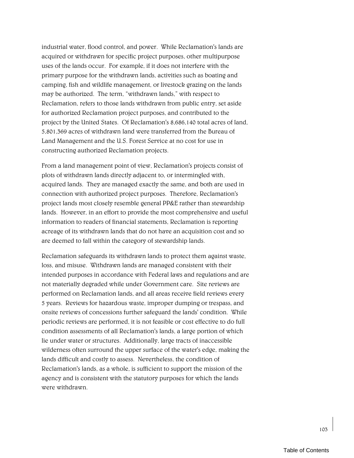industrial water, flood control, and power. While Reclamation's lands are acquired or withdrawn for specific project purposes, other multipurpose uses of the lands occur. For example, if it does not interfere with the primary purpose for the withdrawn lands, activities such as boating and camping, fish and wildlife management, or livestock grazing on the lands may be authorized. The term, "withdrawn lands," with respect to Reclamation, refers to those lands withdrawn from public entry, set aside for authorized Reclamation project purposes, and contributed to the project by the United States. Of Reclamation's 8,686,140 total acres of land, 5,801,369 acres of withdrawn land were transferred from the Bureau of Land Management and the U.S. Forest Service at no cost for use in constructing authorized Reclamation projects.

From a land management point of view, Reclamation's projects consist of plots of withdrawn lands directly adjacent to, or intermingled with, acquired lands. They are managed exactly the same, and both are used in connection with authorized project purposes. Therefore, Reclamation's project lands most closely resemble general PP&E rather than stewardship lands. However, in an effort to provide the most comprehensive and useful information to readers of financial statements, Reclamation is reporting acreage of its withdrawn lands that do not have an acquisition cost and so are deemed to fall within the category of stewardship lands.

Reclamation safeguards its withdrawn lands to protect them against waste, loss, and misuse. Withdrawn lands are managed consistent with their intended purposes in accordance with Federal laws and regulations and are not materially degraded while under Government care. Site reviews are performed on Reclamation lands, and all areas receive field reviews every 5 years. Reviews for hazardous waste, improper dumping or trespass, and onsite reviews of concessions further safeguard the lands' condition. While periodic reviews are performed, it is not feasible or cost effective to do full condition assessments of all Reclamation's lands, a large portion of which lie under water or structures. Additionally, large tracts of inaccessible wilderness often surround the upper surface of the water's edge, making the lands difficult and costly to assess. Nevertheless, the condition of Reclamation's lands, as a whole, is sufficient to support the mission of the agency and is consistent with the statutory purposes for which the lands were withdrawn.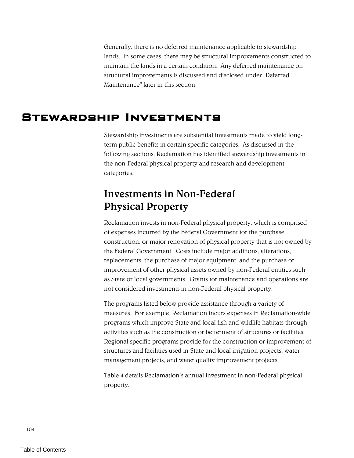Generally, there is no deferred maintenance applicable to stewardship lands. In some cases, there may be structural improvements constructed to maintain the lands in a certain condition. Any deferred maintenance on structural improvements is discussed and disclosed under "Deferred Maintenance" later in this section.

### Stewardship Investments

Stewardship investments are substantial investments made to yield longterm public benefits in certain specific categories. As discussed in the following sections, Reclamation has identified stewardship investments in the non-Federal physical property and research and development categories.

## **Investments in Non-Federal Physical Property**

Reclamation invests in non-Federal physical property, which is comprised of expenses incurred by the Federal Government for the purchase, construction, or major renovation of physical property that is not owned by the Federal Government. Costs include major additions, alterations, replacements, the purchase of major equipment, and the purchase or improvement of other physical assets owned by non-Federal entities such as State or local governments. Grants for maintenance and operations are not considered investments in non-Federal physical property.

The programs listed below provide assistance through a variety of measures. For example, Reclamation incurs expenses in Reclamation-wide programs which improve State and local fish and wildlife habitats through activities such as the construction or betterment of structures or facilities. Regional specific programs provide for the construction or improvement of structures and facilities used in State and local irrigation projects, water management projects, and water quality improvement projects.

Table 4 details Reclamation's annual investment in non-Federal physical property.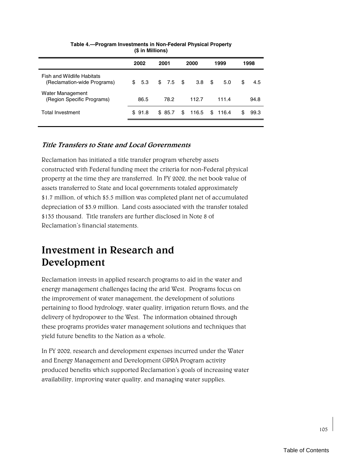|                                                           | 2002   | 2001<br>2000 |                  | 1999    | 1998      |
|-----------------------------------------------------------|--------|--------------|------------------|---------|-----------|
| Fish and Wildlife Habitats<br>(Reclamation-wide Programs) | \$5.3  | $$7.5$ \$    | 3.8 <sup>5</sup> | 5.0     | S<br>4.5  |
| Water Management<br>(Region Specific Programs)            | 86.5   | 78.2         | 112.7            | 111.4   | 94.8      |
| Total Investment                                          | \$91.8 | \$85.7       | 116.5<br>\$      | \$116.4 | S<br>99.3 |
|                                                           |        |              |                  |         |           |

#### **Table 4.—Program Investments in Non-Federal Physical Property (\$ in Millions)**

### **Title Transfers to State and Local Governments**

Reclamation has initiated a title transfer program whereby assets constructed with Federal funding meet the criteria for non-Federal physical property at the time they are transferred. In FY 2002, the net book value of assets transferred to State and local governments totaled approximately \$1.7 million, of which \$5.5 million was completed plant net of accumulated depreciation of \$3.9 million. Land costs associated with the transfer totaled \$135 thousand. Title transfers are further disclosed in Note 8 of Reclamation's financial statements.

# **Investment in Research and Development**

Reclamation invests in applied research programs to aid in the water and energy management challenges facing the arid West. Programs focus on the improvement of water management, the development of solutions pertaining to flood hydrology, water quality, irrigation return flows, and the delivery of hydropower to the West. The information obtained through these programs provides water management solutions and techniques that yield future benefits to the Nation as a whole.

In FY 2002, research and development expenses incurred under the Water and Energy Management and Development GPRA Program activity produced benefits which supported Reclamationís goals of increasing water availability, improving water quality, and managing water supplies.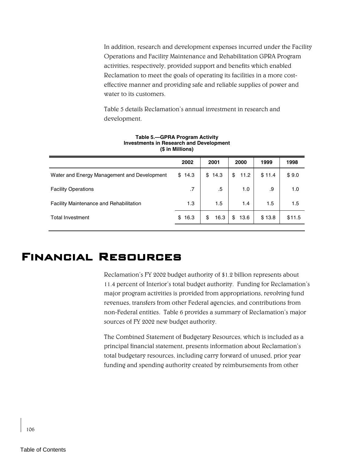In addition, research and development expenses incurred under the Facility Operations and Facility Maintenance and Rehabilitation GPRA Program activities, respectively, provided support and benefits which enabled Reclamation to meet the goals of operating its facilities in a more costeffective manner and providing safe and reliable supplies of power and water to its customers.

Table 5 details Reclamation's annual investment in research and development.

|                                                | 2002   | 2001       | 2000       | 1999   | 1998   |
|------------------------------------------------|--------|------------|------------|--------|--------|
| Water and Energy Management and Development    | \$14.3 | \$14.3     | \$<br>11.2 | \$11.4 | \$9.0  |
| <b>Facility Operations</b>                     | .7     | .5         | 1.0        | .9     | 1.0    |
| <b>Facility Maintenance and Rehabilitation</b> | 1.3    | 1.5        | 1.4        | 1.5    | 1.5    |
| <b>Total Investment</b>                        | \$16.3 | \$<br>16.3 | \$<br>13.6 | \$13.8 | \$11.5 |

#### **Table 5.—GPRA Program Activity Investments in Research and Development (\$ in Millions)**

### Financial Resources

Reclamation's FY 2002 budget authority of \$1.2 billion represents about 11.4 percent of Interior's total budget authority. Funding for Reclamation's major program activities is provided from appropriations, revolving fund revenues, transfers from other Federal agencies, and contributions from non-Federal entities. Table 6 provides a summary of Reclamation's major sources of FY 2002 new budget authority.

The Combined Statement of Budgetary Resources, which is included as a principal financial statement, presents information about Reclamation's total budgetary resources, including carry forward of unused, prior year funding and spending authority created by reimbursements from other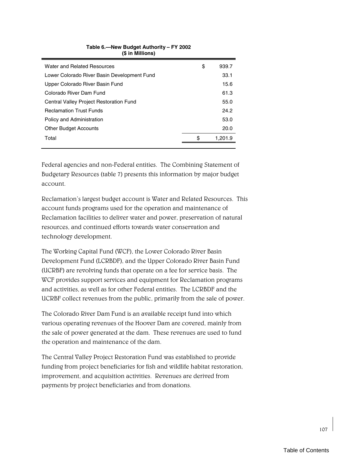| Water and Related Resources                 | \$<br>939.7   |
|---------------------------------------------|---------------|
| Lower Colorado River Basin Development Fund | 33.1          |
| Upper Colorado River Basin Fund             | 15.6          |
| Colorado River Dam Fund                     | 61.3          |
| Central Valley Project Restoration Fund     | 55.0          |
| <b>Reclamation Trust Funds</b>              | 24.2          |
| Policy and Administration                   | 53.0          |
| <b>Other Budget Accounts</b>                | 20.0          |
| Total                                       | \$<br>1.201.9 |
|                                             |               |

### **Table 6.—New Budget Authority – FY 2002 (\$ in Millions)**

Federal agencies and non-Federal entities. The Combining Statement of Budgetary Resources (table 7) presents this information by major budget account.

Reclamation's largest budget account is Water and Related Resources. This account funds programs used for the operation and maintenance of Reclamation facilities to deliver water and power, preservation of natural resources, and continued efforts towards water conservation and technology development.

The Working Capital Fund (WCF), the Lower Colorado River Basin Development Fund (LCRBDF), and the Upper Colorado River Basin Fund (UCRBF) are revolving funds that operate on a fee for service basis. The WCF provides support services and equipment for Reclamation programs and activities, as well as for other Federal entities. The LCRBDF and the UCRBF collect revenues from the public, primarily from the sale of power.

The Colorado River Dam Fund is an available receipt fund into which various operating revenues of the Hoover Dam are covered, mainly from the sale of power generated at the dam. These revenues are used to fund the operation and maintenance of the dam.

The Central Valley Project Restoration Fund was established to provide funding from project beneficiaries for fish and wildlife habitat restoration, improvement, and acquisition activities. Revenues are derived from payments by project beneficiaries and from donations.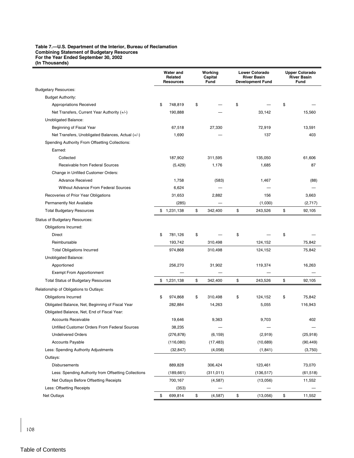#### **Table 7.—U.S. Department of the Interior, Bureau of Reclamation Combining Statement of Budgetary Resources For the Year Ended September 30, 2002 (In Thousands)**

|                                                      | Water and<br>Related<br><b>Resources</b> |             | Working<br>Capital<br>Fund |    | <b>Lower Colorado</b><br><b>River Basin</b><br><b>Development Fund</b> |    | <b>Upper Colorado</b><br><b>River Basin</b><br><b>Fund</b> |  |
|------------------------------------------------------|------------------------------------------|-------------|----------------------------|----|------------------------------------------------------------------------|----|------------------------------------------------------------|--|
| <b>Budgetary Resources:</b>                          |                                          |             |                            |    |                                                                        |    |                                                            |  |
| <b>Budget Authority:</b>                             |                                          |             |                            |    |                                                                        |    |                                                            |  |
| Appropriations Received                              | \$                                       | 748,819     | \$                         | \$ |                                                                        | \$ |                                                            |  |
| Net Transfers, Current Year Authority (+/-)          |                                          | 190,888     |                            |    | 33,142                                                                 |    | 15,560                                                     |  |
| Unobligated Balance:                                 |                                          |             |                            |    |                                                                        |    |                                                            |  |
| Beginning of Fiscal Year                             |                                          | 67,518      | 27,330                     |    | 72,919                                                                 |    | 13,591                                                     |  |
| Net Transfers, Unobligated Balances, Actual (+/-)    |                                          | 1,690       |                            |    | 137                                                                    |    | 403                                                        |  |
| Spending Authority From Offsetting Collections:      |                                          |             |                            |    |                                                                        |    |                                                            |  |
| Earned:                                              |                                          |             |                            |    |                                                                        |    |                                                            |  |
| Collected                                            |                                          | 187,902     | 311,595                    |    | 135,050                                                                |    | 61,606                                                     |  |
| Receivable from Federal Sources                      |                                          | (5, 429)    | 1,176                      |    | 1,685                                                                  |    | 87                                                         |  |
| Change in Unfilled Customer Orders:                  |                                          |             |                            |    |                                                                        |    |                                                            |  |
| <b>Advance Received</b>                              |                                          | 1,758       | (583)                      |    | 1,467                                                                  |    | (88)                                                       |  |
| <b>Without Advance From Federal Sources</b>          |                                          | 6,624       |                            |    |                                                                        |    |                                                            |  |
| Recoveries of Prior Year Obligations                 |                                          | 31,653      | 2,882                      |    | 156                                                                    |    | 3,663                                                      |  |
| Permanently Not Available                            |                                          | (285)       |                            |    | (1,030)                                                                |    | (2,717)                                                    |  |
| <b>Total Budgetary Resources</b>                     | \$                                       | 1,231,138   | \$<br>342,400              | \$ | 243,526                                                                | \$ | 92,105                                                     |  |
| <b>Status of Budgetary Resources:</b>                |                                          |             |                            |    |                                                                        |    |                                                            |  |
| Obligations Incurred:                                |                                          |             |                            |    |                                                                        |    |                                                            |  |
| Direct                                               | \$                                       | 781,126     | \$                         | \$ |                                                                        | \$ |                                                            |  |
| Reimbursable                                         |                                          | 193,742     | 310,498                    |    | 124,152                                                                |    | 75,842                                                     |  |
| <b>Total Obligations Incurred</b>                    |                                          | 974,868     | 310,498                    |    | 124,152                                                                |    | 75,842                                                     |  |
| Unobligated Balance:                                 |                                          |             |                            |    |                                                                        |    |                                                            |  |
| Apportioned                                          |                                          | 256,270     | 31,902                     |    | 119,374                                                                |    | 16,263                                                     |  |
| <b>Exempt From Apportionment</b>                     |                                          |             |                            |    |                                                                        |    |                                                            |  |
| <b>Total Status of Budgetary Resources</b>           |                                          | \$1,231,138 | \$<br>342,400              | \$ | 243,526                                                                | \$ | 92,105                                                     |  |
| Relationship of Obligations to Outlays:              |                                          |             |                            |    |                                                                        |    |                                                            |  |
| <b>Obligations Incurred</b>                          | \$                                       | 974,868     | \$<br>310,498              | \$ | 124,152                                                                | \$ | 75,842                                                     |  |
| Obligated Balance, Net, Beginning of Fiscal Year     |                                          | 282,884     | 14,263                     |    | 5,055                                                                  |    | 116,943                                                    |  |
| Obligated Balance, Net, End of Fiscal Year:          |                                          |             |                            |    |                                                                        |    |                                                            |  |
| <b>Accounts Receivable</b>                           |                                          | 19,646      | 9,363                      |    | 9,703                                                                  |    | 402                                                        |  |
| Unfilled Customer Orders From Federal Sources        |                                          | 38,235      |                            |    |                                                                        |    |                                                            |  |
| <b>Undelivered Orders</b>                            |                                          | (276, 878)  | (6, 159)                   |    | (2,919)                                                                |    | (25, 918)                                                  |  |
| <b>Accounts Payable</b>                              |                                          | (116,080)   | (17, 483)                  |    | (10, 689)                                                              |    | (90, 449)                                                  |  |
| Less: Spending Authority Adjustments                 |                                          | (32, 847)   | (4,058)                    |    | (1, 841)                                                               |    | (3,750)                                                    |  |
| Outlays:                                             |                                          |             |                            |    |                                                                        |    |                                                            |  |
| Disbursements                                        |                                          | 889,828     | 306,424                    |    | 123,461                                                                |    | 73,070                                                     |  |
| Less: Spending Authority from Offsetting Collections |                                          | (189, 661)  | (311, 011)                 |    | (136, 517)                                                             |    | (61, 518)                                                  |  |
| Net Outlays Before Offsetting Receipts               |                                          | 700,167     | (4, 587)                   |    | (13,056)                                                               |    | 11,552                                                     |  |
| Less: Offsetting Receipts                            |                                          | (353)       |                            |    |                                                                        |    |                                                            |  |
| <b>Net Outlays</b>                                   | \$                                       | 699,814     | \$<br>(4, 587)             | \$ | (13,056)                                                               | \$ | 11,552                                                     |  |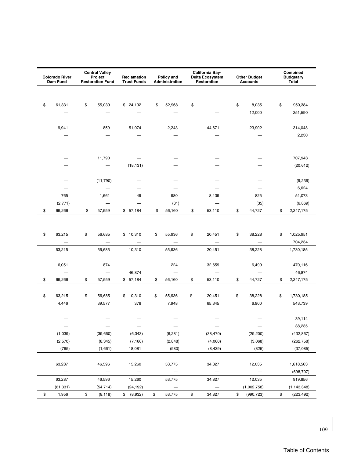| <b>Colorado River</b><br>Dam Fund | <b>Central Valley</b><br>Project<br><b>Restoration Fund</b> | Reclamation<br><b>Trust Funds</b> | Policy and<br>Administration |      | California Bay-<br><b>Delta Ecosystem</b><br>Restoration | <b>Other Budget</b><br><b>Accounts</b> | Combined<br><b>Budgetary</b><br>Total |
|-----------------------------------|-------------------------------------------------------------|-----------------------------------|------------------------------|------|----------------------------------------------------------|----------------------------------------|---------------------------------------|
|                                   |                                                             |                                   |                              |      |                                                          |                                        |                                       |
| \$<br>61,331                      | \$<br>55,039                                                | \$24,192                          | \$<br>52,968                 | \$   |                                                          | \$<br>8,035                            | \$<br>950,384                         |
|                                   |                                                             |                                   |                              |      |                                                          | 12,000                                 | 251,590                               |
| 9,941                             | 859                                                         | 51,074                            | 2,243                        |      | 44,671                                                   | 23,902                                 | 314,048                               |
|                                   |                                                             |                                   |                              |      |                                                          |                                        | 2,230                                 |
|                                   |                                                             |                                   |                              |      |                                                          |                                        |                                       |
|                                   | 11,790                                                      |                                   |                              |      |                                                          |                                        | 707,943                               |
|                                   |                                                             | (18, 131)                         |                              |      |                                                          |                                        | (20, 612)                             |
|                                   | (11,790)                                                    |                                   |                              |      |                                                          |                                        | (9,236)                               |
|                                   |                                                             |                                   |                              |      |                                                          |                                        | 6,624                                 |
| 765                               | 1,661                                                       | 49                                | 980                          |      | 8,439                                                    | 825                                    | 51,073                                |
| (2,771)                           |                                                             |                                   | (31)                         |      |                                                          | (35)                                   | (6, 869)                              |
| \$<br>69,266                      | \$<br>57,559                                                | \$57,184                          | \$<br>56,160                 | \$   | 53,110                                                   | \$<br>44,727                           | \$<br>2,247,175                       |
|                                   |                                                             |                                   |                              |      |                                                          |                                        |                                       |
| \$<br>63,215                      | \$<br>56,685                                                | \$10,310                          | \$<br>55,936                 | \$   | 20,451                                                   | \$<br>38,228                           | \$<br>1,025,951                       |
|                                   | $\overline{\phantom{0}}$                                    |                                   |                              |      |                                                          | $\qquad \qquad -$                      | 704,234                               |
| 63,215                            | 56,685                                                      | 10,310                            | 55,936                       |      | 20,451                                                   | 38,228                                 | 1,730,185                             |
| 6,051                             | 874                                                         | $\overline{\phantom{m}}$          | 224                          |      | 32,659                                                   | 6,499                                  | 470,116                               |
|                                   | $\overline{\phantom{m}}$                                    | 46,874                            |                              |      |                                                          |                                        | 46,874                                |
| \$<br>69,266                      | \$<br>57,559                                                | \$57,184                          | \$<br>56,160                 | \$   | 53,110                                                   | \$<br>44,727                           | \$<br>2,247,175                       |
|                                   |                                                             |                                   |                              |      |                                                          |                                        |                                       |
| \$<br>63,215                      | \$<br>56,685                                                | \$10,310                          | \$<br>55,936                 | \$   | 20,451                                                   | \$<br>38,228                           | \$<br>1,730,185                       |
| 4,446                             | 39,577                                                      | 378                               | 7,948                        |      | 65,345                                                   | 6,900                                  | 543,739                               |
|                                   |                                                             |                                   |                              |      |                                                          |                                        | 39,114                                |
| $\overline{\phantom{m}}$          | $\overline{\phantom{m}}$                                    | $\hspace{0.1mm}-\hspace{0.1mm}$   | $\overline{\phantom{m}}$     |      | $\hspace{0.1mm}-\hspace{0.1mm}$                          | $\overline{\phantom{m}}$               | 38,235                                |
| (1,039)                           | (39,660)                                                    | (6, 343)                          | (6, 281)                     |      | (38, 470)                                                | (29, 200)                              | (432, 867)                            |
| (2,570)                           | (8, 345)                                                    | (7, 166)                          | (2,848)                      |      | (4,060)                                                  | (3,068)                                | (262, 758)                            |
| (765)                             | (1,661)                                                     | 18,081                            | (980)                        |      | (8, 439)                                                 | (825)                                  | (37,085)                              |
|                                   |                                                             |                                   |                              |      |                                                          |                                        |                                       |
| 63,287                            | 46,596                                                      | 15,260                            | 53,775                       |      | 34,827                                                   | 12,035                                 | 1,618,563                             |
| $\overline{\phantom{0}}$          | $\overline{\phantom{m}}$                                    | $\overline{\phantom{m}}$          | $\overline{\phantom{0}}$     |      | $\overline{\phantom{0}}$                                 | $\overline{\phantom{0}}$               | (698, 707)                            |
| 63,287<br>(61, 331)               | 46,596                                                      | 15,260                            | 53,775                       |      | 34,827                                                   | 12,035                                 | 919,856<br>(1, 143, 348)              |
| \$<br>1,956                       | \$<br>(54, 714)<br>(8, 118)                                 | (24, 192)<br>\$ (8,932)           | \$<br>53,775                 | $\$$ | 34,827                                                   | \$<br>(1,002,758)<br>(990, 723)        | \$<br>(223, 492)                      |
|                                   |                                                             |                                   |                              |      |                                                          |                                        |                                       |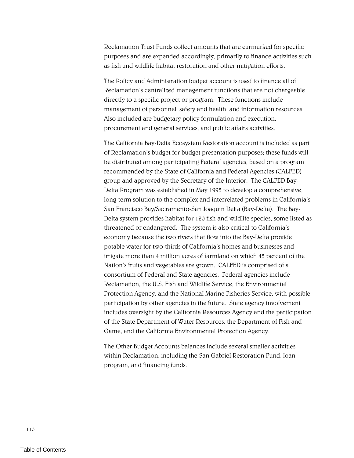Reclamation Trust Funds collect amounts that are earmarked for specific purposes and are expended accordingly, primarily to finance activities such as fish and wildlife habitat restoration and other mitigation efforts.

The Policy and Administration budget account is used to finance all of Reclamationís centralized management functions that are not chargeable directly to a specific project or program. These functions include management of personnel, safety and health, and information resources. Also included are budgetary policy formulation and execution, procurement and general services, and public affairs activities.

The California Bay-Delta Ecosystem Restoration account is included as part of Reclamation's budget for budget presentation purposes; these funds will be distributed among participating Federal agencies, based on a program recommended by the State of California and Federal Agencies (CALFED) group and approved by the Secretary of the Interior. The CALFED Bay-Delta Program was established in May 1995 to develop a comprehensive, long-term solution to the complex and interrelated problems in California's San Francisco Bay/Sacramento-San Joaquin Delta (Bay-Delta). The Bay-Delta system provides habitat for 120 fish and wildlife species, some listed as threatened or endangered. The system is also critical to California's economy because the two rivers that flow into the Bay-Delta provide potable water for two-thirds of Californiaís homes and businesses and irrigate more than 4 million acres of farmland on which 45 percent of the Nation's fruits and vegetables are grown. CALFED is comprised of a consortium of Federal and State agencies. Federal agencies include Reclamation, the U.S. Fish and Wildlife Service, the Environmental Protection Agency, and the National Marine Fisheries Service, with possible participation by other agencies in the future. State agency involvement includes oversight by the California Resources Agency and the participation of the State Department of Water Resources, the Department of Fish and Game, and the California Environmental Protection Agency.

The Other Budget Accounts balances include several smaller activities within Reclamation, including the San Gabriel Restoration Fund, loan program, and financing funds.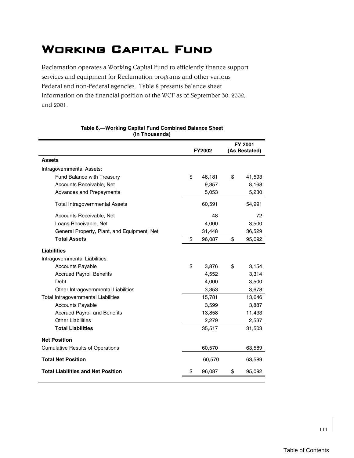# Working Capital Fund

Reclamation operates a Working Capital Fund to efficiently finance support services and equipment for Reclamation programs and other various Federal and non-Federal agencies. Table 8 presents balance sheet information on the financial position of the WCF as of September 30, 2002, and 2001.

|                                             | <b>FY2002</b> |        | FY 2001<br>(As Restated) |        |  |
|---------------------------------------------|---------------|--------|--------------------------|--------|--|
| <b>Assets</b>                               |               |        |                          |        |  |
| Intragovernmental Assets:                   |               |        |                          |        |  |
| Fund Balance with Treasury                  | \$            | 46,181 | \$                       | 41,593 |  |
| Accounts Receivable, Net                    |               | 9,357  |                          | 8,168  |  |
| Advances and Prepayments                    |               | 5,053  |                          | 5,230  |  |
| <b>Total Intragovernmental Assets</b>       |               | 60,591 |                          | 54,991 |  |
| Accounts Receivable, Net                    |               | 48     |                          | 72     |  |
| Loans Receivable, Net                       |               | 4,000  |                          | 3,500  |  |
| General Property, Plant, and Equipment, Net |               | 31,448 |                          | 36,529 |  |
| <b>Total Assets</b>                         | \$            | 96,087 | \$                       | 95,092 |  |
| <b>Liabilities</b>                          |               |        |                          |        |  |
| Intragovernmental Liabilities:              |               |        |                          |        |  |
| <b>Accounts Payable</b>                     | \$            | 3,876  | \$                       | 3,154  |  |
| <b>Accrued Payroll Benefits</b>             |               | 4,552  |                          | 3,314  |  |
| Debt                                        |               | 4,000  |                          | 3,500  |  |
| Other Intragovernmental Liabilities         |               | 3,353  |                          | 3,678  |  |
| Total Intragovernmental Liabilities         |               | 15,781 |                          | 13,646 |  |
| <b>Accounts Payable</b>                     |               | 3,599  |                          | 3,887  |  |
| <b>Accrued Payroll and Benefits</b>         |               | 13,858 |                          | 11,433 |  |
| <b>Other Liabilities</b>                    |               | 2,279  |                          | 2,537  |  |
| <b>Total Liabilities</b>                    |               | 35,517 |                          | 31,503 |  |
| <b>Net Position</b>                         |               |        |                          |        |  |
| <b>Cumulative Results of Operations</b>     |               | 60,570 |                          | 63,589 |  |
| <b>Total Net Position</b>                   |               | 60,570 |                          | 63,589 |  |
| <b>Total Liabilities and Net Position</b>   |               | 96,087 | \$                       | 95,092 |  |

#### **Table 8.—Working Capital Fund Combined Balance Sheet (In Thousands)**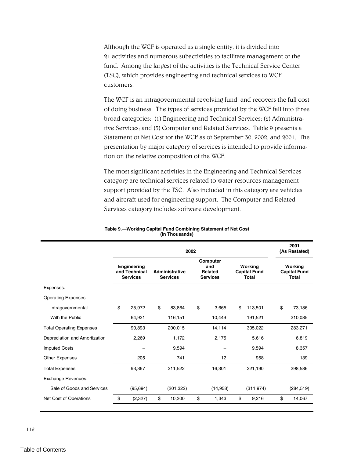Although the WCF is operated as a single entity, it is divided into 21 activities and numerous subactivities to facilitate management of the fund. Among the largest of the activities is the Technical Service Center (TSC), which provides engineering and technical services to WCF customers.

The WCF is an intragovernmental revolving fund, and recovers the full cost of doing business. The types of services provided by the WCF fall into three broad categories: (1) Engineering and Technical Services; (2) Administrative Services; and (3) Computer and Related Services. Table 9 presents a Statement of Net Cost for the WCF as of September 30, 2002, and 2001. The presentation by major category of services is intended to provide information on the relative composition of the WCF.

The most significant activities in the Engineering and Technical Services category are technical services related to water resources management support provided by the TSC. Also included in this category are vehicles and aircraft used for engineering support. The Computer and Related Services category includes software development.

|                                 | 2002                                                   |           |                                          |            |                                                      |           |                                                | 2001<br>(As Restated) |    |                                                |
|---------------------------------|--------------------------------------------------------|-----------|------------------------------------------|------------|------------------------------------------------------|-----------|------------------------------------------------|-----------------------|----|------------------------------------------------|
|                                 | <b>Engineering</b><br>and Technical<br><b>Services</b> |           | <b>Administrative</b><br><b>Services</b> |            | Computer<br>and<br><b>Related</b><br><b>Services</b> |           | Working<br><b>Capital Fund</b><br><b>Total</b> |                       |    | Working<br><b>Capital Fund</b><br><b>Total</b> |
| Expenses:                       |                                                        |           |                                          |            |                                                      |           |                                                |                       |    |                                                |
| <b>Operating Expenses</b>       |                                                        |           |                                          |            |                                                      |           |                                                |                       |    |                                                |
| Intragovernmental               | \$                                                     | 25,972    | \$                                       | 83,864     | \$                                                   | 3,665     | \$                                             | 113,501               | \$ | 73,186                                         |
| With the Public                 |                                                        | 64,921    |                                          | 116,151    |                                                      | 10,449    |                                                | 191,521               |    | 210,085                                        |
| <b>Total Operating Expenses</b> |                                                        | 90,893    |                                          | 200,015    |                                                      | 14,114    |                                                | 305,022               |    | 283,271                                        |
| Depreciation and Amortization   |                                                        | 2,269     |                                          | 1,172      |                                                      | 2,175     |                                                | 5,616                 |    | 6,819                                          |
| <b>Imputed Costs</b>            |                                                        |           |                                          | 9,594      |                                                      |           |                                                | 9,594                 |    | 8,357                                          |
| <b>Other Expenses</b>           |                                                        | 205       |                                          | 741        |                                                      | 12        |                                                | 958                   |    | 139                                            |
| <b>Total Expenses</b>           |                                                        | 93,367    |                                          | 211,522    |                                                      | 16,301    |                                                | 321,190               |    | 298,586                                        |
| Exchange Revenues:              |                                                        |           |                                          |            |                                                      |           |                                                |                       |    |                                                |
| Sale of Goods and Services      |                                                        | (95, 694) |                                          | (201, 322) |                                                      | (14, 958) |                                                | (311, 974)            |    | (284, 519)                                     |
| Net Cost of Operations          | \$                                                     | (2,327)   | \$                                       | 10,200     | \$                                                   | 1,343     | \$                                             | 9,216                 | \$ | 14,067                                         |

#### **Table 9.—Working Capital Fund Combining Statement of Net Cost (In Thousands)**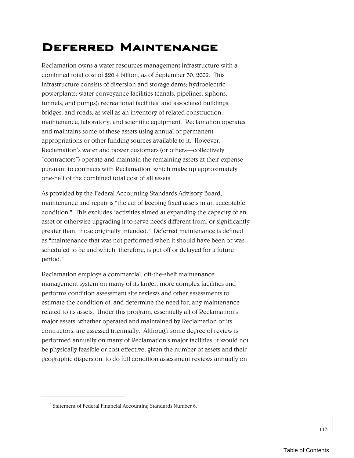# Deferred Maintenance

Reclamation owns a water resources management infrastructure with a combined total cost of \$20.4 billion, as of September 30, 2002. This infrastructure consists of diversion and storage dams; hydroelectric powerplants; water conveyance facilities (canals, pipelines, siphons, tunnels, and pumps); recreational facilities; and associated buildings, bridges, and roads, as well as an inventory of related construction, maintenance, laboratory, and scientific equipment. Reclamation operates and maintains some of these assets using annual or permanent appropriations or other funding sources available to it. However, Reclamation's water and power customers (or others—collectively "contractors") operate and maintain the remaining assets at their expense pursuant to contracts with Reclamation, which make up approximately one-half of the combined total cost of all assets.

As provided by the Federal Accounting Standards Advisory Board,<sup>1</sup> maintenance and repair is "the act of keeping fixed assets in an acceptable condition." This excludes "activities aimed at expanding the capacity of an asset or otherwise upgrading it to serve needs different from, or significantly greater than, those originally intended." Deferred maintenance is defined as "maintenance that was not performed when it should have been or was scheduled to be and which, therefore, is put off or delayed for a future period."

Reclamation employs a commercial, off-the-shelf maintenance management system on many of its larger, more complex facilities and performs condition assessment site reviews and other assessments to estimate the condition of, and determine the need for, any maintenance related to its assets. Under this program, essentially all of Reclamation's major assets, whether operated and maintained by Reclamation or its contractors, are assessed triennially. Although some degree of review is performed annually on many of Reclamation's major facilities, it would not be physically feasible or cost effective, given the number of assets and their geographic dispersion, to do full condition assessment reviews annually on

<sup>&</sup>lt;sup>1</sup> Statement of Federal Financial Accounting Standards Number 6.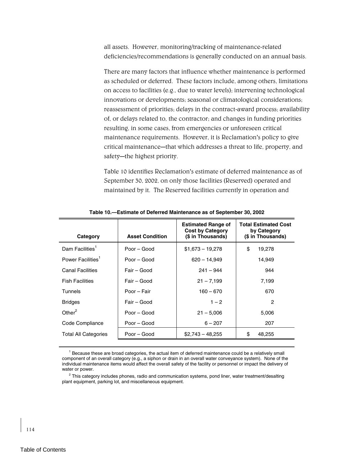all assets. However, monitoring/tracking of maintenance-related deficiencies/recommendations is generally conducted on an annual basis.

There are many factors that influence whether maintenance is performed as scheduled or deferred. These factors include, among others, limitations on access to facilities (e.g., due to water levels); intervening technological innovations or developments; seasonal or climatological considerations; reassessment of priorities; delays in the contract-award process; availability of, or delays related to, the contractor; and changes in funding priorities resulting, in some cases, from emergencies or unforeseen critical maintenance requirements. However, it is Reclamation's policy to give critical maintenance—that which addresses a threat to life, property, and safety-the highest priority.

Table 10 identifies Reclamation's estimate of deferred maintenance as of September 30, 2002, on only those facilities (Reserved) operated and maintained by it. The Reserved facilities currently in operation and

| Category                      | <b>Asset Condition</b>   | <b>Estimated Range of</b><br><b>Cost by Category</b><br>(\$ in Thousands) | <b>Total Estimated Cost</b><br>by Category<br>(\$ in Thousands) |  |  |  |  |  |
|-------------------------------|--------------------------|---------------------------------------------------------------------------|-----------------------------------------------------------------|--|--|--|--|--|
| Dam Facilities <sup>1</sup>   | Poor - Good              | $$1,673 - 19,278$                                                         | \$<br>19,278                                                    |  |  |  |  |  |
| Power Facilities <sup>1</sup> | P <sub>0</sub> or – Good | $620 - 14,949$                                                            | 14,949                                                          |  |  |  |  |  |
| <b>Canal Facilities</b>       | Fair – Good              | $241 - 944$                                                               | 944                                                             |  |  |  |  |  |
| <b>Fish Facilities</b>        | Fair - Good              | $21 - 7,199$                                                              | 7,199                                                           |  |  |  |  |  |
| Tunnels                       | Poor - Fair              | $160 - 670$                                                               | 670                                                             |  |  |  |  |  |
| <b>Bridges</b>                | Fair – Good              | $1 - 2$                                                                   | 2                                                               |  |  |  |  |  |
| Other $^2$                    | Poor – Good              | $21 - 5,006$                                                              | 5,006                                                           |  |  |  |  |  |
| Code Compliance               | Poor – Good              | $6 - 207$                                                                 | 207                                                             |  |  |  |  |  |
| <b>Total All Categories</b>   | Poor - Good              | $$2,743 - 48,255$                                                         | \$<br>48,255                                                    |  |  |  |  |  |
|                               |                          |                                                                           |                                                                 |  |  |  |  |  |

**Table 10.—Estimate of Deferred Maintenance as of September 30, 2002** 

<sup>1</sup> Because these are broad categories, the actual item of deferred maintenance could be a relatively small component of an overall category (e.g., a siphon or drain in an overall water conveyance system). None of the individual maintenance items would affect the overall safety of the facility or personnel or impact the delivery of water or power.

 $2$  This category includes phones, radio and communication systems, pond liner, water treatment/desalting plant equipment, parking lot, and miscellaneous equipment.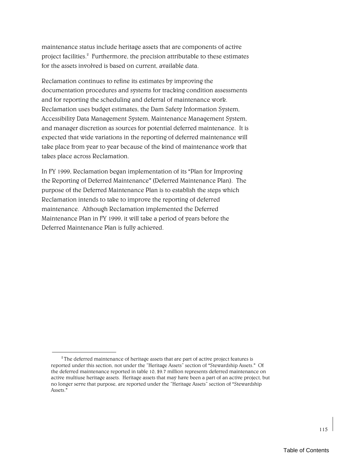maintenance status include heritage assets that are components of active project facilities.<sup>2</sup> Furthermore, the precision attributable to these estimates for the assets involved is based on current, available data.

Reclamation continues to refine its estimates by improving the documentation procedures and systems for tracking condition assessments and for reporting the scheduling and deferral of maintenance work. Reclamation uses budget estimates, the Dam Safety Information System, Accessibility Data Management System, Maintenance Management System, and manager discretion as sources for potential deferred maintenance. It is expected that wide variations in the reporting of deferred maintenance will take place from year to year because of the kind of maintenance work that takes place across Reclamation.

In FY 1999, Reclamation began implementation of its "Plan for Improving the Reporting of Deferred Maintenance" (Deferred Maintenance Plan). The purpose of the Deferred Maintenance Plan is to establish the steps which Reclamation intends to take to improve the reporting of deferred maintenance. Although Reclamation implemented the Deferred Maintenance Plan in FY 1999, it will take a period of years before the Deferred Maintenance Plan is fully achieved.

 $2^{\circ}$ The deferred maintenance of heritage assets that are part of active project features is reported under this section, not under the "Heritage Assets" section of "Stewardship Assets." Of the deferred maintenance reported in table 10, \$9.7 million represents deferred maintenance on active multiuse heritage assets. Heritage assets that may have been a part of an active project, but no longer serve that purpose, are reported under the "Heritage Assets" section of "Stewardship Assets<sup>"</sup>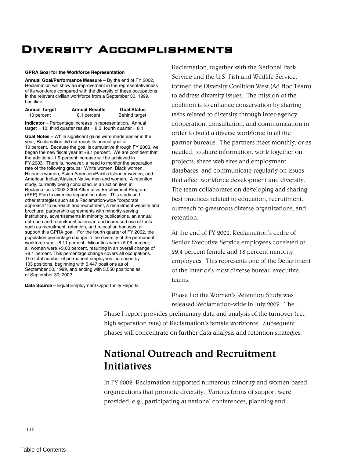# Diversity Accomplishments

#### **GPRA Goal for the Workforce Representation**

**Annual Goal/Performance Measure** – By the end of FY 2002, Reclamation will show an improvement in the representativeness of its workforce compared with the diversity of these occupations in the relevant civilian workforce from a September 30, 1999, baseline.

| <b>Annual Target</b> | <b>Annual Results</b> | <b>Goal Status</b>   |
|----------------------|-----------------------|----------------------|
| 10 percent           | 8.1 percent           | <b>Behind target</b> |

**Indicator** – Percentage increase in representation. Annual target = 10; third quarter results = 8.3; fourth quarter =  $8.1$ .

**Goal Notes** – While significant gains were made earlier in the year, Reclamation did not reach its annual goal of 10 percent. Because the goal is cumulative through FY 2003, we began the new fiscal year at +8.1 percent. We are confident that the additional 1.9-percent increase will be achieved in FY 2003. There is, however, a need to monitor the separation rate of the following groups: White women, Black women, Hispanic women, Asian American/Pacific Islander women, and American Indian/Alaskan Native men and women. A retention study, currently being conducted, is an action item in Reclamation's 2002-2004 Affirmative Employment Program (AEP) Plan to examine separation rates. This study and other strategies such as a Reclamation-wide "corporate approach" to outreach and recruitment, a recruitment website and brochure, partnership agreements with minority-serving institutions, advertisements in minority publications, an annual outreach and recruitment calendar, and increased use of tools such as recruitment, retention, and relocation bonuses, all support this GPRA goal. For the fourth quarter of FY 2002, the population percentage change in the diversity of the permanent workforce was +8.11 percent. Minorities were +5.08 percent; all women were +3.03 percent, resulting in an overall change of +8.1 percent. This percentage change covers all occupations. The total number of permanent employees increased by 103 positions, beginning with 5,447 positions as of September 30, 1999, and ending with 5,550 positions as of September 30, 2002.

**Data Source** – Equal Employment Opportunity Reports

Reclamation, together with the National Park Service and the U.S. Fish and Wildlife Service, formed the Diversity Coalition West (Ad Hoc Team) to address diversity issues. The mission of the coalition is to enhance conservation by sharing tasks related to diversity through inter-agency cooperation, consultation, and communication in order to build a diverse workforce in all the partner bureaus. The partners meet monthly, or as needed, to share information, work together on projects, share web sites and employment databases, and communicate regularly on issues that affect workforce development and diversity. The team collaborates on developing and sharing best practices related to education, recruitment, outreach to grassroots diverse organizations, and retention.

At the end of FY 2002, Reclamation's cadre of Senior Executive Service employees consisted of 29.4 percent female and 18 percent minority employees. This represents one of the Department of the Interiorís most diverse bureau executive teams.

Phase I of the Women's Retention Study was released Reclamation-wide in July 2002. The

Phase I report provides preliminary data and analysis of the turnover (i.e., high separation rate) of Reclamation's female workforce. Subsequent phases will concentrate on further data analysis and retention strategies.

# **National Outreach and Recruitment Initiatives**

In FY 2002, Reclamation supported numerous minority and women-based organizations that promote diversity. Various forms of support were provided, e.g., participating at national conferences, planning and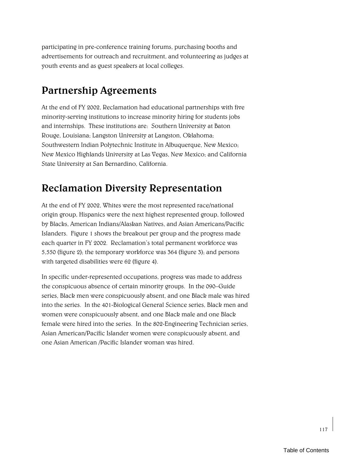participating in pre-conference training forums, purchasing booths and advertisements for outreach and recruitment, and volunteering as judges at youth events and as guest speakers at local colleges.

# **Partnership Agreements**

At the end of FY 2002, Reclamation had educational partnerships with five minority-serving institutions to increase minority hiring for students jobs and internships. These institutions are: Southern University at Baton Rouge, Louisiana; Langston University at Langston, Oklahoma; Southwestern Indian Polytechnic Institute in Albuquerque, New Mexico; New Mexico Highlands University at Las Vegas, New Mexico; and California State University at San Bernardino, California.

### **Reclamation Diversity Representation**

At the end of FY 2002, Whites were the most represented race/national origin group, Hispanics were the next highest represented group, followed by Blacks, American Indians/Alaskan Natives, and Asian Americans/Pacific Islanders. Figure 1 shows the breakout per group and the progress made each quarter in FY 2002. Reclamation's total permanent workforce was 5,550 (figure 2); the temporary workforce was 364 (figure 3); and persons with targeted disabilities were 62 (figure 4).

In specific under-represented occupations, progress was made to address the conspicuous absence of certain minority groups. In the 090-Guide series, Black men were conspicuously absent, and one Black male was hired into the series. In the 401-Biological General Science series, Black men and women were conspicuously absent, and one Black male and one Black female were hired into the series. In the 802-Engineering Technician series, Asian American/Pacific Islander women were conspicuously absent, and one Asian American /Pacific Islander woman was hired.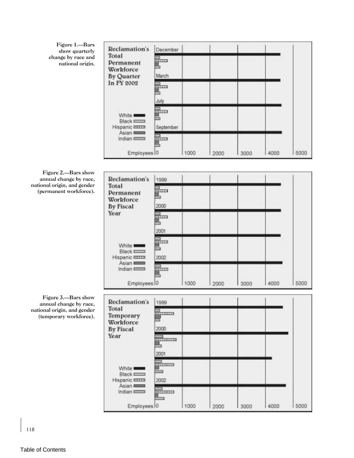Figure 1.-Bars show quarterly change by race and national origin.

| Reclamation's                                        | December                                 |      |      |      |      |      |
|------------------------------------------------------|------------------------------------------|------|------|------|------|------|
| Total<br>Permanent<br>Workforce<br><b>By Quarter</b> | <b>HELD</b><br>March                     |      |      |      |      |      |
| In FY 2002                                           | mm<br>July                               |      |      |      |      |      |
| White <b>Keeps</b><br>Black Count<br>Hispanic IIIII  | $\overline{\text{mm}}$<br>ā<br>September |      |      |      |      |      |
| Asian <b>League</b><br>Indian E<br>Employees 0       | पापम                                     | 1000 | 2000 | 3000 | 4000 | 5000 |

Figure 2.—Bars show annual change by race, national origin, and gender (permanent workforce).



Figure 3.-Bars show annual change by race, national origin, and gender (temporary workforce).

| Reclamation's<br>Total<br>Temporary<br>Workforce<br><b>By Fiscal</b><br>Year | 1999<br><b>DESCRIPTION</b><br>2000                                              |      |                |      |      |      |
|------------------------------------------------------------------------------|---------------------------------------------------------------------------------|------|----------------|------|------|------|
| White <b>Keeps</b><br>Black <b>Company</b><br>Hispanic IIIII                 | <b><i><u>PERSONAL PROPERTY</u></i></b><br>2001<br>minimu<br>es.<br>Born<br>2002 |      |                |      |      |      |
| Asian <b>League</b><br>Indian E<br>Employees <sup>10</sup>                   | 1311111111                                                                      | 1000 | 11.51%<br>2000 | 3000 | 4000 | 5000 |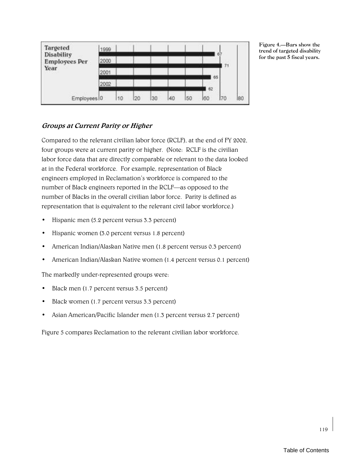| Targeted<br>Disability<br><b>Employees Per</b><br>Year | 1999 |    |    |    |    |    |    | 6. |    |
|--------------------------------------------------------|------|----|----|----|----|----|----|----|----|
|                                                        | 2000 |    |    |    |    |    |    | 71 |    |
|                                                        | 2001 |    |    |    |    |    | 65 |    |    |
|                                                        | 2002 |    |    |    |    |    | 62 |    |    |
| Employees 0                                            |      | 10 | 20 | 30 | 40 | 50 | 60 | 70 | 80 |

Figure 4. - Bars show the trend of targeted disability for the past 5 fiscal years.

### **Groups at Current Parity or Higher**

Compared to the relevant civilian labor force (RCLF), at the end of FY 2002, four groups were at current parity or higher. (Note: RCLF is the civilian labor force data that are directly comparable or relevant to the data looked at in the Federal workforce. For example, representation of Black engineers employed in Reclamation's workforce is compared to the number of Black engineers reported in the RCLF—as opposed to the number of Blacks in the overall civilian labor force. Parity is defined as representation that is equivalent to the relevant civil labor workforce.)

- Hispanic men (5.2 percent versus 3.3 percent)
- Hispanic women (3.0 percent versus 1.8 percent)
- American Indian/Alaskan Native men (1.8 percent versus 0.3 percent)
- American Indian/Alaskan Native women (1.4 percent versus 0.1 percent)

The markedly under-represented groups were:

- Black men (1.7 percent versus 3.5 percent)
- Black women (1.7 percent versus 3.3 percent)
- Asian American/Pacific Islander men (1.3 percent versus 2.7 percent)

Figure 5 compares Reclamation to the relevant civilian labor workforce.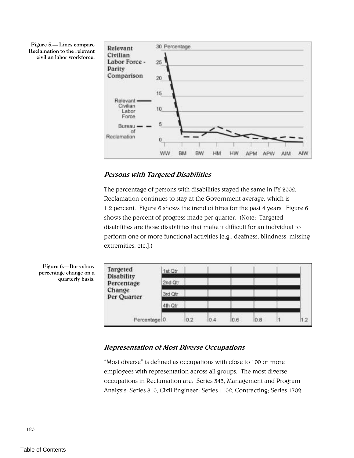Figure 5. Lines compare Reclamation to the relevant civilian labor workforce.



### **Persons with Targeted Disabilities**

The percentage of persons with disabilities stayed the same in FY 2002. Reclamation continues to stay at the Government average, which is 1.2 percent. Figure 6 shows the trend of hires for the past 4 years. Figure 6 shows the percent of progress made per quarter. (Note: Targeted disabilities are those disabilities that make it difficult for an individual to perform one or more functional activities [e.g., deafness, blindness, missing extremities, etc.].)



### **Representation of Most Diverse Occupations**

ìMost diverseî is defined as occupations with close to 100 or more employees with representation across all groups. The most diverse occupations in Reclamation are: Series 343, Management and Program Analysis; Series 810, Civil Engineer; Series 1102, Contracting; Series 1702,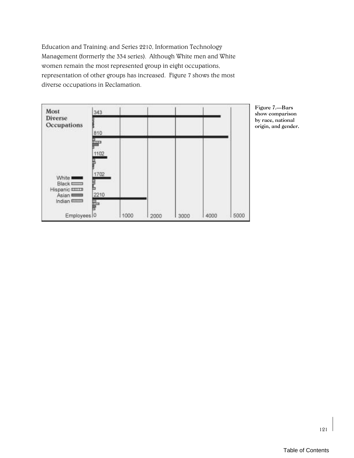Education and Training; and Series 2210, Information Technology Management (formerly the 334 series). Although White men and White women remain the most represented group in eight occupations, representation of other groups has increased. Figure 7 shows the most diverse occupations in Reclamation.



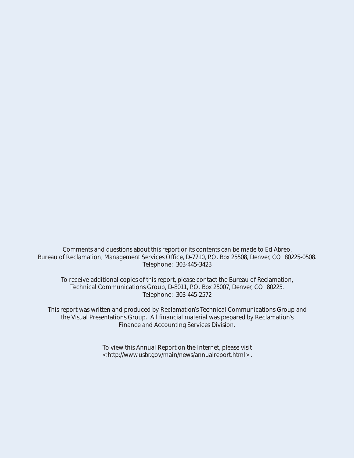Comments and questions about this report or its contents can be made to Ed Abreo, Bureau of Reclamation, Management Services Office, D-7710, P.O. Box 25508, Denver, CO 80225-0508. Telephone: 303-445-3423

To receive additional copies of this report, please contact the Bureau of Reclamation, Technical Communications Group, D-8011, P.O. Box 25007, Denver, CO 80225. Telephone: 303-445-2572

This report was written and produced by Reclamation's Technical Communications Group and the Visual Presentations Group. All financial material was prepared by Reclamation's Finance and Accounting Services Division.

> To view this Annual Report on the Internet, please visit <http://www.usbr.gov/main/news/annualreport.html>.